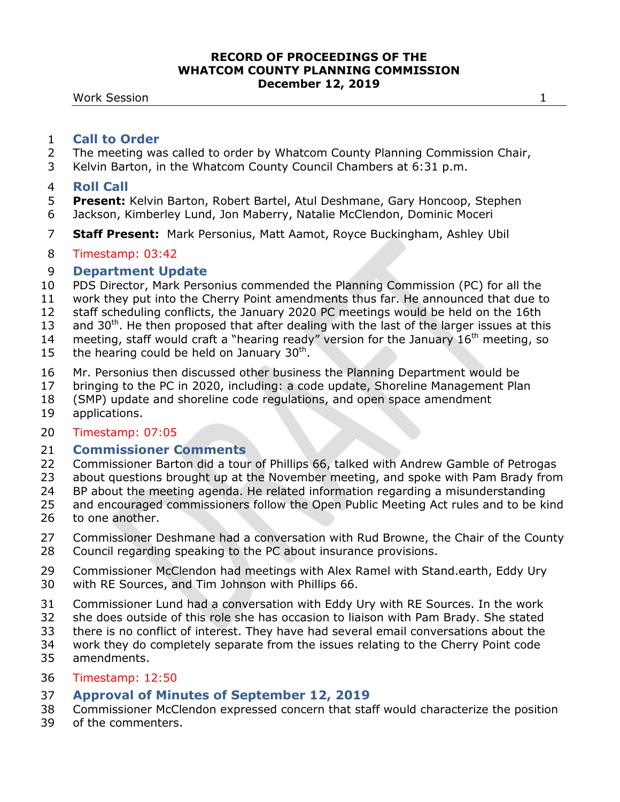**Work Session 1** 

## **Call to Order**

- The meeting was called to order by Whatcom County Planning Commission Chair,
- Kelvin Barton, in the Whatcom County Council Chambers at 6:31 p.m.

## **Roll Call**

- **Present:** Kelvin Barton, Robert Bartel, Atul Deshmane, Gary Honcoop, Stephen Jackson, Kimberley Lund, Jon Maberry, Natalie McClendon, Dominic Moceri
- **Staff Present:** Mark Personius, Matt Aamot, Royce Buckingham, Ashley Ubil

# Timestamp: 03:42

# **Department Update**

- PDS Director, Mark Personius commended the Planning Commission (PC) for all the
- work they put into the Cherry Point amendments thus far. He announced that due to
- staff scheduling conflicts, the January 2020 PC meetings would be held on the 16th
- 13 and  $30<sup>th</sup>$ . He then proposed that after dealing with the last of the larger issues at this
- 14 meeting, staff would craft a "hearing ready" version for the January  $16<sup>th</sup>$  meeting, so
- 15 the hearing could be held on January  $30<sup>th</sup>$ .
- Mr. Personius then discussed other business the Planning Department would be
- bringing to the PC in 2020, including: a code update, Shoreline Management Plan
- (SMP) update and shoreline code regulations, and open space amendment
- applications.

## Timestamp: 07:05

# **Commissioner Comments**

- Commissioner Barton did a tour of Phillips 66, talked with Andrew Gamble of Petrogas
- about questions brought up at the November meeting, and spoke with Pam Brady from
- BP about the meeting agenda. He related information regarding a misunderstanding
- and encouraged commissioners follow the Open Public Meeting Act rules and to be kind
- to one another.
- Commissioner Deshmane had a conversation with Rud Browne, the Chair of the County Council regarding speaking to the PC about insurance provisions.
- Commissioner McClendon had meetings with Alex Ramel with Stand.earth, Eddy Ury with RE Sources, and Tim Johnson with Phillips 66.
- Commissioner Lund had a conversation with Eddy Ury with RE Sources. In the work
- she does outside of this role she has occasion to liaison with Pam Brady. She stated
- there is no conflict of interest. They have had several email conversations about the
- work they do completely separate from the issues relating to the Cherry Point code
- amendments.

## Timestamp: 12:50

# **Approval of Minutes of September 12, 2019**

- Commissioner McClendon expressed concern that staff would characterize the position
- of the commenters.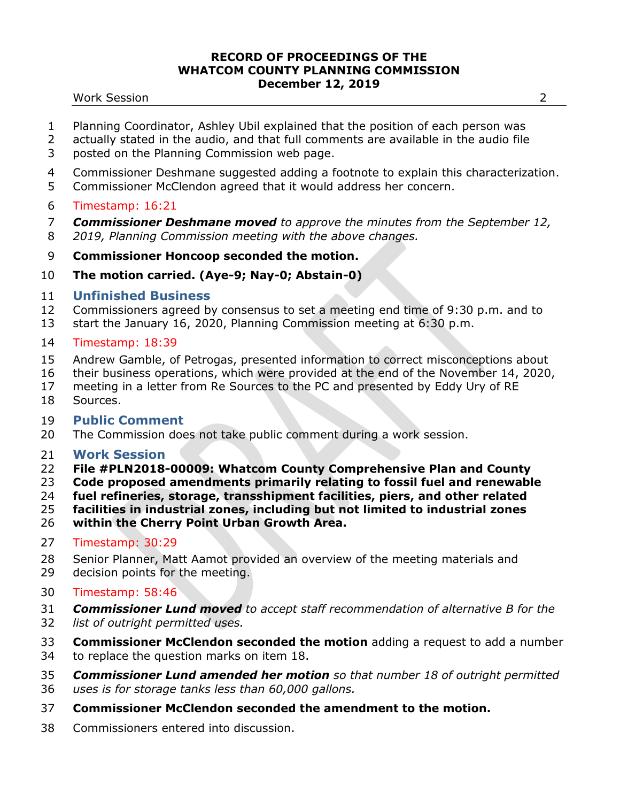#### Work Session 2

- Planning Coordinator, Ashley Ubil explained that the position of each person was
- actually stated in the audio, and that full comments are available in the audio file
- posted on the Planning Commission web page.
- Commissioner Deshmane suggested adding a footnote to explain this characterization.
- Commissioner McClendon agreed that it would address her concern.
- Timestamp: 16:21
- *Commissioner Deshmane moved to approve the minutes from the September 12,*
- *2019, Planning Commission meeting with the above changes.*
- **Commissioner Honcoop seconded the motion.**
- **The motion carried. (Aye-9; Nay-0; Abstain-0)**

# **Unfinished Business**

- Commissioners agreed by consensus to set a meeting end time of 9:30 p.m. and to
- start the January 16, 2020, Planning Commission meeting at 6:30 p.m.
- Timestamp: 18:39
- Andrew Gamble, of Petrogas, presented information to correct misconceptions about
- their business operations, which were provided at the end of the November 14, 2020,
- meeting in a letter from Re Sources to the PC and presented by Eddy Ury of RE
- Sources.

# **Public Comment**

The Commission does not take public comment during a work session.

# **Work Session**

- **File #PLN2018-00009: Whatcom County Comprehensive Plan and County**
- **Code proposed amendments primarily relating to fossil fuel and renewable**
- **fuel refineries, storage, transshipment facilities, piers, and other related**
- **facilities in industrial zones, including but not limited to industrial zones**
- **within the Cherry Point Urban Growth Area.**
- Timestamp: 30:29
- Senior Planner, Matt Aamot provided an overview of the meeting materials and
- decision points for the meeting.
- Timestamp: 58:46
- *Commissioner Lund moved to accept staff recommendation of alternative B for the*
- *list of outright permitted uses.*
- **Commissioner McClendon seconded the motion** adding a request to add a number
- to replace the question marks on item 18.
- *Commissioner Lund amended her motion so that number 18 of outright permitted uses is for storage tanks less than 60,000 gallons.*
- **Commissioner McClendon seconded the amendment to the motion.**
- Commissioners entered into discussion.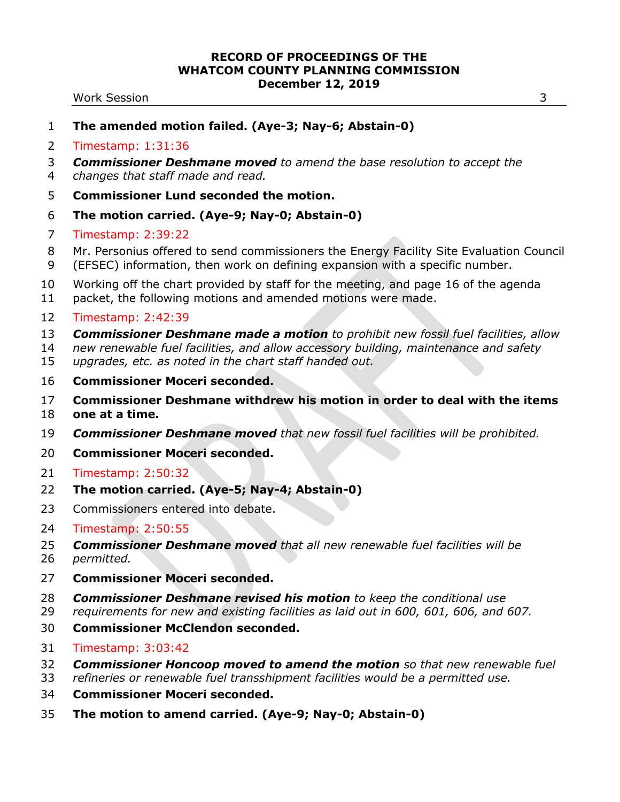#### Work Session 3

- Timestamp: 1:31:36
- *Commissioner Deshmane moved to amend the base resolution to accept the*
- *changes that staff made and read.*
- **Commissioner Lund seconded the motion.**
- **The motion carried. (Aye-9; Nay-0; Abstain-0)**
- Timestamp: 2:39:22
- Mr. Personius offered to send commissioners the Energy Facility Site Evaluation Council
- (EFSEC) information, then work on defining expansion with a specific number.
- Working off the chart provided by staff for the meeting, and page 16 of the agenda
- packet, the following motions and amended motions were made.

## Timestamp: 2:42:39

- *Commissioner Deshmane made a motion to prohibit new fossil fuel facilities, allow*
- *new renewable fuel facilities, and allow accessory building, maintenance and safety*
- *upgrades, etc. as noted in the chart staff handed out.*
- **Commissioner Moceri seconded.**
- **Commissioner Deshmane withdrew his motion in order to deal with the items**
- **one at a time.**
- *Commissioner Deshmane moved that new fossil fuel facilities will be prohibited.*
- **Commissioner Moceri seconded.**
- Timestamp: 2:50:32
- **The motion carried. (Aye-5; Nay-4; Abstain-0)**
- Commissioners entered into debate.
- Timestamp: 2:50:55
- *Commissioner Deshmane moved that all new renewable fuel facilities will be*
- *permitted.*
- **Commissioner Moceri seconded.**
- *Commissioner Deshmane revised his motion to keep the conditional use*
- *requirements for new and existing facilities as laid out in 600, 601, 606, and 607.*
- **Commissioner McClendon seconded.**
- Timestamp: 3:03:42
- *Commissioner Honcoop moved to amend the motion so that new renewable fuel*
- *refineries or renewable fuel transshipment facilities would be a permitted use.*
- **Commissioner Moceri seconded.**
- **The motion to amend carried. (Aye-9; Nay-0; Abstain-0)**